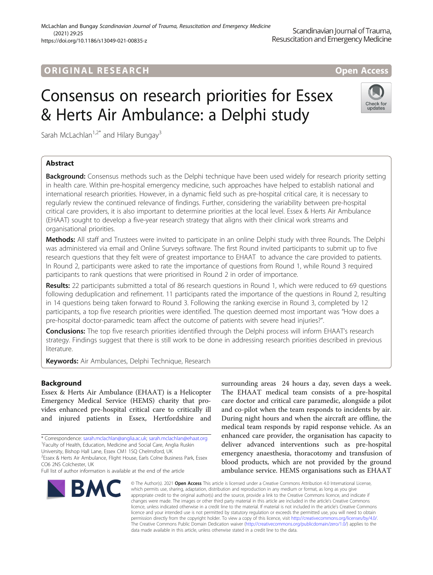# ORIGINA L R E S EA RCH Open Access

Check for undates

# Consensus on research priorities for Essex & Herts Air Ambulance: a Delphi study

Sarah McLachlan<sup>1,2\*</sup> and Hilary Bungay<sup>3</sup>

# Abstract

**Background:** Consensus methods such as the Delphi technique have been used widely for research priority setting in health care. Within pre-hospital emergency medicine, such approaches have helped to establish national and international research priorities. However, in a dynamic field such as pre-hospital critical care, it is necessary to regularly review the continued relevance of findings. Further, considering the variability between pre-hospital critical care providers, it is also important to determine priorities at the local level. Essex & Herts Air Ambulance (EHAAT) sought to develop a five-year research strategy that aligns with their clinical work streams and organisational priorities.

Methods: All staff and Trustees were invited to participate in an online Delphi study with three Rounds. The Delphi was administered via email and Online Surveys software. The first Round invited participants to submit up to five research questions that they felt were of greatest importance to EHAAT to advance the care provided to patients. In Round 2, participants were asked to rate the importance of questions from Round 1, while Round 3 required participants to rank questions that were prioritised in Round 2 in order of importance.

Results: 22 participants submitted a total of 86 research questions in Round 1, which were reduced to 69 questions following deduplication and refinement. 11 participants rated the importance of the questions in Round 2, resulting in 14 questions being taken forward to Round 3. Following the ranking exercise in Round 3, completed by 12 participants, a top five research priorities were identified. The question deemed most important was "How does a pre-hospital doctor-paramedic team affect the outcome of patients with severe head injuries?".

Conclusions: The top five research priorities identified through the Delphi process will inform EHAAT's research strategy. Findings suggest that there is still work to be done in addressing research priorities described in previous literature.

Keywords: Air Ambulances, Delphi Technique, Research

# Background

Essex & Herts Air Ambulance (EHAAT) is a Helicopter Emergency Medical Service (HEMS) charity that provides enhanced pre-hospital critical care to critically ill and injured patients in Essex, Hertfordshire and

\* Correspondence: [sarah.mclachlan@anglia.ac.uk](mailto:sarah.mclachlan@anglia.ac.uk); [sarah.mclachlan@ehaat.org](mailto:sarah.mclachlan@ehaat.org) <sup>1</sup> <sup>1</sup> Faculty of Health, Education, Medicine and Social Care, Anglia Ruskin

University, Bishop Hall Lane, Essex CM1 1SQ Chelmsford, UK

<sup>2</sup>Essex & Herts Air Ambulance, Flight House, Earls Colne Business Park, Essex CO6 2NS Colchester, UK

Full list of author information is available at the end of the article



surrounding areas 24 hours a day, seven days a week. The EHAAT medical team consists of a pre-hospital care doctor and critical care paramedic, alongside a pilot and co-pilot when the team responds to incidents by air. During night hours and when the aircraft are offline, the medical team responds by rapid response vehicle. As an enhanced care provider, the organisation has capacity to deliver advanced interventions such as pre-hospital emergency anaesthesia, thoracotomy and transfusion of blood products, which are not provided by the ground ambulance service. HEMS organisations such as EHAAT

© The Author(s), 2021 **Open Access** This article is licensed under a Creative Commons Attribution 4.0 International License, which permits use, sharing, adaptation, distribution and reproduction in any medium or format, as long as you give appropriate credit to the original author(s) and the source, provide a link to the Creative Commons licence, and indicate if changes were made. The images or other third party material in this article are included in the article's Creative Commons licence, unless indicated otherwise in a credit line to the material. If material is not included in the article's Creative Commons licence and your intended use is not permitted by statutory regulation or exceeds the permitted use, you will need to obtain permission directly from the copyright holder. To view a copy of this licence, visit [http://creativecommons.org/licenses/by/4.0/.](http://creativecommons.org/licenses/by/4.0/) The Creative Commons Public Domain Dedication waiver [\(http://creativecommons.org/publicdomain/zero/1.0/](http://creativecommons.org/publicdomain/zero/1.0/)) applies to the data made available in this article, unless otherwise stated in a credit line to the data.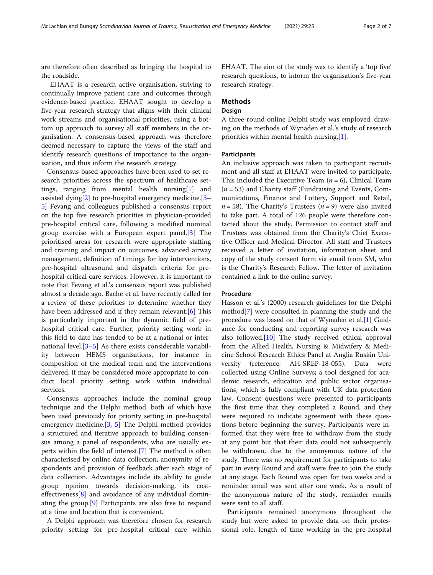are therefore often described as bringing the hospital to the roadside.

EHAAT is a research active organisation, striving to continually improve patient care and outcomes through evidence-based practice. EHAAT sought to develop a five-year research strategy that aligns with their clinical work streams and organisational priorities, using a bottom up approach to survey all staff members in the organisation. A consensus-based approach was therefore deemed necessary to capture the views of the staff and identify research questions of importance to the organisation, and thus inform the research strategy.

Consensus-based approaches have been used to set research priorities across the spectrum of healthcare settings, ranging from mental health nursing[[1\]](#page-6-0) and assisted dying[\[2](#page-6-0)] to pre-hospital emergency medicine.[[3](#page-6-0)– [5\]](#page-6-0) Fevang and colleagues published a consensus report on the top five research priorities in physician-provided pre-hospital critical care, following a modified nominal group exercise with a European expert panel.[[3\]](#page-6-0) The prioritised areas for research were appropriate staffing and training and impact on outcomes, advanced airway management, definition of timings for key interventions, pre-hospital ultrasound and dispatch criteria for prehospital critical care services. However, it is important to note that Fevang et al.'s consensus report was published almost a decade ago. Bache et al. have recently called for a review of these priorities to determine whether they have been addressed and if they remain relevant.<sup>[\[6](#page-6-0)]</sup> This is particularly important in the dynamic field of prehospital critical care. Further, priority setting work in this field to date has tended to be at a national or international level.[[3](#page-6-0)–[5](#page-6-0)] As there exists considerable variability between HEMS organisations, for instance in composition of the medical team and the interventions delivered, it may be considered more appropriate to conduct local priority setting work within individual services.

Consensus approaches include the nominal group technique and the Delphi method, both of which have been used previously for priority setting in pre-hospital emergency medicine.[[3,](#page-6-0) [5\]](#page-6-0) The Delphi method provides a structured and iterative approach to building consensus among a panel of respondents, who are usually experts within the field of interest.[[7\]](#page-6-0) The method is often characterised by online data collection, anonymity of respondents and provision of feedback after each stage of data collection. Advantages include its ability to guide group opinion towards decision-making, its costeffectiveness[[8\]](#page-6-0) and avoidance of any individual dominating the group.[[9\]](#page-6-0) Participants are also free to respond at a time and location that is convenient.

A Delphi approach was therefore chosen for research priority setting for pre-hospital critical care within EHAAT. The aim of the study was to identify a 'top five' research questions, to inform the organisation's five-year research strategy.

# Methods

# Design

A three-round online Delphi study was employed, drawing on the methods of Wynaden et al.'s study of research priorities within mental health nursing.[[1](#page-6-0)].

# **Participants**

An inclusive approach was taken to participant recruitment and all staff at EHAAT were invited to participate. This included the Executive Team  $(n = 6)$ , Clinical Team  $(n = 53)$  and Charity staff (Fundraising and Events, Communications, Finance and Lottery, Support and Retail,  $n = 58$ ). The Charity's Trustees ( $n = 9$ ) were also invited to take part. A total of 126 people were therefore contacted about the study. Permission to contact staff and Trustees was obtained from the Charity's Chief Executive Officer and Medical Director. All staff and Trustees received a letter of invitation, information sheet and copy of the study consent form via email from SM, who is the Charity's Research Fellow. The letter of invitation contained a link to the online survey.

# Procedure

Hasson et al.'s (2000) research guidelines for the Delphi method[\[7](#page-6-0)] were consulted in planning the study and the procedure was based on that of Wynaden et al.[\[1](#page-6-0)] Guidance for conducting and reporting survey research was also followed.[[10\]](#page-6-0) The study received ethical approval from the Allied Health, Nursing & Midwifery & Medicine School Research Ethics Panel at Anglia Ruskin University (reference: AH-SREP-18-055). Data were collected using Online Surveys; a tool designed for academic research, education and public sector organisations, which is fully compliant with UK data protection law. Consent questions were presented to participants the first time that they completed a Round, and they were required to indicate agreement with these questions before beginning the survey. Participants were informed that they were free to withdraw from the study at any point but that their data could not subsequently be withdrawn, due to the anonymous nature of the study. There was no requirement for participants to take part in every Round and staff were free to join the study at any stage. Each Round was open for two weeks and a reminder email was sent after one week. As a result of the anonymous nature of the study, reminder emails were sent to all staff.

Participants remained anonymous throughout the study but were asked to provide data on their professional role, length of time working in the pre-hospital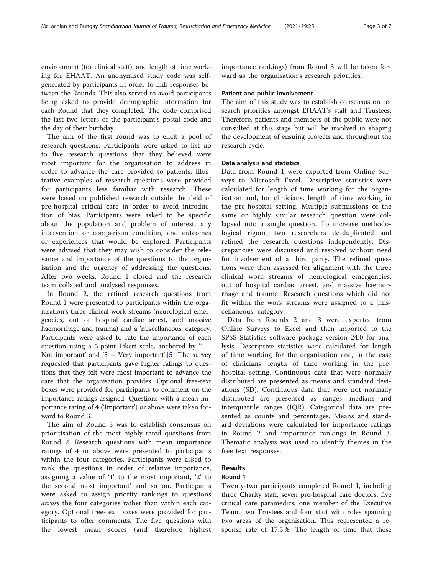environment (for clinical staff), and length of time working for EHAAT. An anonymised study code was selfgenerated by participants in order to link responses between the Rounds. This also served to avoid participants being asked to provide demographic information for each Round that they completed. The code comprised the last two letters of the participant's postal code and the day of their birthday.

The aim of the first round was to elicit a pool of research questions. Participants were asked to list up to five research questions that they believed were most important for the organisation to address in order to advance the care provided to patients. Illustrative examples of research questions were provided for participants less familiar with research. These were based on published research outside the field of pre-hospital critical care in order to avoid introduction of bias. Participants were asked to be specific about the population and problem of interest, any intervention or comparison condition, and outcomes or experiences that would be explored. Participants were advised that they may wish to consider the relevance and importance of the questions to the organisation and the urgency of addressing the questions. After two weeks, Round 1 closed and the research team collated and analysed responses.

In Round 2, the refined research questions from Round 1 were presented to participants within the organisation's three clinical work streams (neurological emergencies, out of hospital cardiac arrest, and massive haemorrhage and trauma) and a 'miscellaneous' category. Participants were asked to rate the importance of each question using a 5-point Likert scale, anchored by '1 – Not important' and '[5](#page-6-0) – Very important'.[5] The survey requested that participants gave higher ratings to questions that they felt were most important to advance the care that the organisation provides. Optional free-text boxes were provided for participants to comment on the importance ratings assigned. Questions with a mean importance rating of 4 ('Important') or above were taken forward to Round 3.

The aim of Round 3 was to establish consensus on prioritisation of the most highly rated questions from Round 2. Research questions with mean importance ratings of 4 or above were presented to participants within the four categories. Participants were asked to rank the questions in order of relative importance, assigning a value of '1' to the most important, '2' to the second most important' and so on. Participants were asked to assign priority rankings to questions across the four categories rather than within each category. Optional free-text boxes were provided for participants to offer comments. The five questions with the lowest mean scores (and therefore highest

importance rankings) from Round 3 will be taken forward as the organisation's research priorities.

# Patient and public involvement

The aim of this study was to establish consensus on research priorities amongst EHAAT's staff and Trustees. Therefore, patients and members of the public were not consulted at this stage but will be involved in shaping the development of ensuing projects and throughout the research cycle.

# Data analysis and statistics

Data from Round 1 were exported from Online Surveys to Microsoft Excel. Descriptive statistics were calculated for length of time working for the organisation and, for clinicians, length of time working in the pre-hospital setting. Multiple submissions of the same or highly similar research question were collapsed into a single question. To increase methodological rigour, two researchers de-duplicated and refined the research questions independently. Discrepancies were discussed and resolved without need for involvement of a third party. The refined questions were then assessed for alignment with the three clinical work streams of neurological emergencies, out of hospital cardiac arrest, and massive haemorrhage and trauma. Research questions which did not fit within the work streams were assigned to a 'miscellaneous' category.

Data from Rounds 2 and 3 were exported from Online Surveys to Excel and then imported to the SPSS Statistics software package version 24.0 for analysis. Descriptive statistics were calculated for length of time working for the organisation and, in the case of clinicians, length of time working in the prehospital setting. Continuous data that were normally distributed are presented as means and standard deviations (SD). Continuous data that were not normally distributed are presented as ranges, medians and interquartile ranges (IQR). Categorical data are presented as counts and percentages. Means and standard deviations were calculated for importance ratings in Round 2 and importance rankings in Round 3. Thematic analysis was used to identify themes in the free text responses.

# Results

# Round 1

Twenty-two participants completed Round 1, including three Charity staff, seven pre-hospital care doctors, five critical care paramedics, one member of the Executive Team, two Trustees and four staff with roles spanning two areas of the organisation. This represented a response rate of 17.5 %. The length of time that these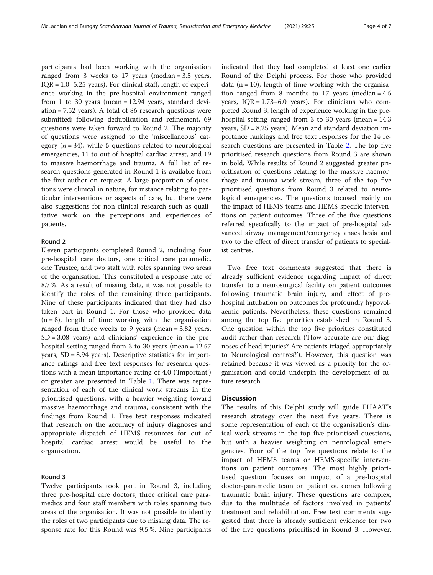participants had been working with the organisation ranged from 3 weeks to 17 years (median = 3.5 years,  $IQR = 1.0 - 5.25$  years). For clinical staff, length of experience working in the pre-hospital environment ranged from 1 to 30 years (mean = 12.94 years, standard deviation = 7.52 years). A total of 86 research questions were submitted; following deduplication and refinement, 69 questions were taken forward to Round 2. The majority of questions were assigned to the 'miscellaneous' category ( $n = 34$ ), while 5 questions related to neurological emergencies, 11 to out of hospital cardiac arrest, and 19 to massive haemorrhage and trauma. A full list of research questions generated in Round 1 is available from the first author on request. A large proportion of questions were clinical in nature, for instance relating to particular interventions or aspects of care, but there were also suggestions for non-clinical research such as qualitative work on the perceptions and experiences of patients.

# Round 2

Eleven participants completed Round 2, including four pre-hospital care doctors, one critical care paramedic, one Trustee, and two staff with roles spanning two areas of the organisation. This constituted a response rate of 8.7 %. As a result of missing data, it was not possible to identify the roles of the remaining three participants. Nine of these participants indicated that they had also taken part in Round 1. For those who provided data  $(n = 8)$ , length of time working with the organisation ranged from three weeks to 9 years (mean = 3.82 years,  $SD = 3.08$  years) and clinicians' experience in the prehospital setting ranged from 3 to 30 years (mean = 12.57 years, SD = 8.94 years). Descriptive statistics for importance ratings and free text responses for research questions with a mean importance rating of 4.0 ('Important') or greater are presented in Table [1](#page-4-0). There was representation of each of the clinical work streams in the prioritised questions, with a heavier weighting toward massive haemorrhage and trauma, consistent with the findings from Round 1. Free text responses indicated that research on the accuracy of injury diagnoses and appropriate dispatch of HEMS resources for out of hospital cardiac arrest would be useful to the organisation.

# Round 3

Twelve participants took part in Round 3, including three pre-hospital care doctors, three critical care paramedics and four staff members with roles spanning two areas of the organisation. It was not possible to identify the roles of two participants due to missing data. The response rate for this Round was 9.5 %. Nine participants indicated that they had completed at least one earlier Round of the Delphi process. For those who provided data  $(n = 10)$ , length of time working with the organisation ranged from 8 months to 17 years (median = 4.5 years, IQR = 1.73–6.0 years). For clinicians who completed Round 3, length of experience working in the prehospital setting ranged from 3 to 30 years (mean = 14.3 years, SD = 8.25 years). Mean and standard deviation importance rankings and free text responses for the 14 research questions are presented in Table [2.](#page-5-0) The top five prioritised research questions from Round 3 are shown in bold. While results of Round 2 suggested greater prioritisation of questions relating to the massive haemorrhage and trauma work stream, three of the top five prioritised questions from Round 3 related to neurological emergencies. The questions focused mainly on the impact of HEMS teams and HEMS-specific interventions on patient outcomes. Three of the five questions referred specifically to the impact of pre-hospital advanced airway management/emergency anaesthesia and two to the effect of direct transfer of patients to specialist centres.

Two free text comments suggested that there is already sufficient evidence regarding impact of direct transfer to a neurosurgical facility on patient outcomes following traumatic brain injury, and effect of prehospital intubation on outcomes for profoundly hypovolaemic patients. Nevertheless, these questions remained among the top five priorities established in Round 3. One question within the top five priorities constituted audit rather than research ('How accurate are our diagnoses of head injuries? Are patients triaged appropriately to Neurological centres?'). However, this question was retained because it was viewed as a priority for the organisation and could underpin the development of future research.

# **Discussion**

The results of this Delphi study will guide EHAAT's research strategy over the next five years. There is some representation of each of the organisation's clinical work streams in the top five prioritised questions, but with a heavier weighting on neurological emergencies. Four of the top five questions relate to the impact of HEMS teams or HEMS-specific interventions on patient outcomes. The most highly prioritised question focuses on impact of a pre-hospital doctor-paramedic team on patient outcomes following traumatic brain injury. These questions are complex, due to the multitude of factors involved in patients' treatment and rehabilitation. Free text comments suggested that there is already sufficient evidence for two of the five questions prioritised in Round 3. However,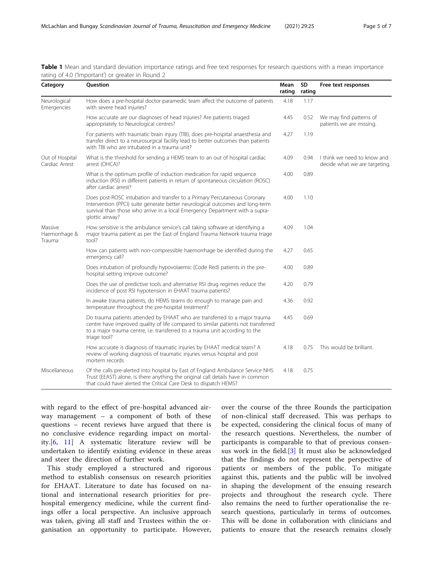| Category                           | Question                                                                                                                                                                                                                                                        | Mean<br>rating | <b>SD</b><br>rating | Free text responses                                          |
|------------------------------------|-----------------------------------------------------------------------------------------------------------------------------------------------------------------------------------------------------------------------------------------------------------------|----------------|---------------------|--------------------------------------------------------------|
| Neurological<br>Emergencies        | How does a pre-hospital doctor-paramedic team affect the outcome of patients<br>with severe head injuries?                                                                                                                                                      | 4.18           | 1.17                |                                                              |
|                                    | How accurate are our diagnoses of head injuries? Are patients triaged<br>appropriately to Neurological centres?                                                                                                                                                 | 4.45           | 0.52                | We may find patterns of<br>patients we are missing.          |
|                                    | For patients with traumatic brain injury (TBI), does pre-hospital anaesthesia and<br>transfer direct to a neurosurgical facility lead to better outcomes than patients<br>with TBI who are intubated in a trauma unit?                                          | 4.27           | 1.19                |                                                              |
| Out of Hospital<br>Cardiac Arrest  | What is the threshold for sending a HEMS team to an out of hospital cardiac<br>arrest (OHCA)?                                                                                                                                                                   | 4.09           | 0.94                | I think we need to know and<br>decide what we are targeting. |
|                                    | What is the optimum profile of induction medication for rapid sequence<br>induction (RSI) in different patients in return of spontaneous circulation (ROSC)<br>after cardiac arrest?                                                                            | 4.00           | 0.89                |                                                              |
|                                    | Does post-ROSC intubation and transfer to a Primary Percutaneous Coronary<br>Intervention (PPCI) suite generate better neurological outcomes and long-term<br>survival than those who arrive in a local Emergency Department with a supra-<br>glottic airway?   | 4.00           | 1.10                |                                                              |
| Massive<br>Haemorrhage &<br>Trauma | How sensitive is the ambulance service's call taking software at identifying a<br>major trauma patient as per the East of England Trauma Network trauma triage<br>tool?                                                                                         | 4.09           | 1.04                |                                                              |
|                                    | How can patients with non-compressible haemorrhage be identified during the<br>emergency call?                                                                                                                                                                  | 4.27           | 0.65                |                                                              |
|                                    | Does intubation of profoundly hypovolaemic (Code Red) patients in the pre-<br>hospital setting improve outcome?                                                                                                                                                 | 4.00           | 0.89                |                                                              |
|                                    | Does the use of predictive tools and alternative RSI drug regimes reduce the<br>incidence of post RSI hypotension in EHAAT trauma patients?                                                                                                                     | 4.20           | 0.79                |                                                              |
|                                    | In awake trauma patients, do HEMS teams do enough to manage pain and<br>temperature throughout the pre-hospital treatment?                                                                                                                                      | 4.36           | 0.92                |                                                              |
|                                    | Do trauma patients attended by EHAAT who are transferred to a major trauma<br>centre have improved quality of life compared to similar patients not transferred<br>to a major trauma centre, i.e. transferred to a trauma unit according to the<br>triage tool? | 4.45           | 0.69                |                                                              |
|                                    | How accurate is diagnosis of traumatic injuries by EHAAT medical team? A<br>review of working diagnosis of traumatic injuries versus hospital and post<br>mortem records                                                                                        | 4.18           | 0.75                | This would be brilliant.                                     |
| Miscellaneous                      | Of the calls pre-alerted into hospital by East of England Ambulance Service NHS<br>Trust (EEAST) alone, is there anything the original call details have in common<br>that could have alerted the Critical Care Desk to dispatch HEMS?                          | 4.18           | 0.75                |                                                              |

<span id="page-4-0"></span>Table 1 Mean and standard deviation importance ratings and free text responses for research questions with a mean importance rating of 4.0 ('Important') or greater in Round 2

with regard to the effect of pre-hospital advanced airway management – a component of both of these questions – recent reviews have argued that there is no conclusive evidence regarding impact on mortality.[[6,](#page-6-0) [11](#page-6-0)] A systematic literature review will be undertaken to identify existing evidence in these areas and steer the direction of further work.

This study employed a structured and rigorous method to establish consensus on research priorities for EHAAT. Literature to date has focused on national and international research priorities for prehospital emergency medicine, while the current findings offer a local perspective. An inclusive approach was taken, giving all staff and Trustees within the organisation an opportunity to participate. However, over the course of the three Rounds the participation of non-clinical staff decreased. This was perhaps to be expected, considering the clinical focus of many of the research questions. Nevertheless, the number of participants is comparable to that of previous consensus work in the field.[[3](#page-6-0)] It must also be acknowledged that the findings do not represent the perspective of patients or members of the public. To mitigate against this, patients and the public will be involved in shaping the development of the ensuing research projects and throughout the research cycle. There also remains the need to further operationalise the research questions, particularly in terms of outcomes. This will be done in collaboration with clinicians and patients to ensure that the research remains closely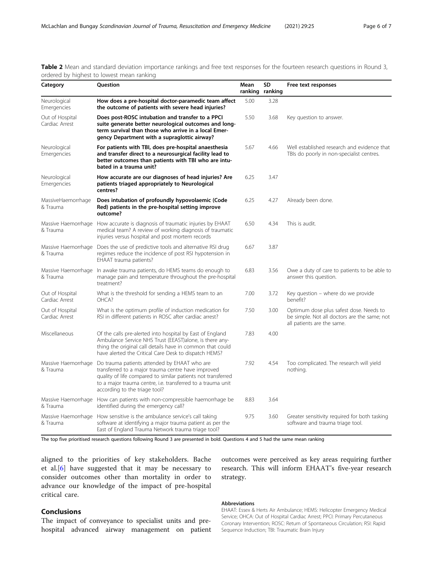| ordered by ingitest to forrest incan failurig<br>Category<br>Question |                                                                                                                                                                                                                                                                                        | Mean    | SD      | Free text responses                                                                                                   |
|-----------------------------------------------------------------------|----------------------------------------------------------------------------------------------------------------------------------------------------------------------------------------------------------------------------------------------------------------------------------------|---------|---------|-----------------------------------------------------------------------------------------------------------------------|
|                                                                       |                                                                                                                                                                                                                                                                                        | ranking | ranking |                                                                                                                       |
| Neurological<br>Emergencies                                           | How does a pre-hospital doctor-paramedic team affect<br>the outcome of patients with severe head injuries?                                                                                                                                                                             | 5.00    | 3.28    |                                                                                                                       |
| Out of Hospital<br>Cardiac Arrest                                     | Does post-ROSC intubation and transfer to a PPCI<br>suite generate better neurological outcomes and long-<br>term survival than those who arrive in a local Emer-<br>gency Department with a supraglottic airway?                                                                      | 5.50    | 3.68    | Key question to answer.                                                                                               |
| Neurological<br>Emergencies                                           | For patients with TBI, does pre-hospital anaesthesia<br>and transfer direct to a neurosurgical facility lead to<br>better outcomes than patients with TBI who are intu-<br>bated in a trauma unit?                                                                                     | 5.67    | 4.66    | Well established research and evidence that<br>TBIs do poorly in non-specialist centres.                              |
| Neurological<br>Emergencies                                           | How accurate are our diagnoses of head injuries? Are<br>patients triaged appropriately to Neurological<br>centres?                                                                                                                                                                     | 6.25    | 3.47    |                                                                                                                       |
| MassiveHaemorrhage<br>& Trauma                                        | Does intubation of profoundly hypovolaemic (Code<br>Red) patients in the pre-hospital setting improve<br>outcome?                                                                                                                                                                      | 6.25    | 4.27    | Already been done.                                                                                                    |
| & Trauma                                                              | Massive Haemorrhage How accurate is diagnosis of traumatic injuries by EHAAT<br>medical team? A review of working diagnosis of traumatic<br>injuries versus hospital and post mortem records                                                                                           | 6.50    | 4.34    | This is audit.                                                                                                        |
| Massive Haemorrhage<br>& Trauma                                       | Does the use of predictive tools and alternative RSI drug<br>regimes reduce the incidence of post RSI hypotension in<br>EHAAT trauma patients?                                                                                                                                         | 6.67    | 3.87    |                                                                                                                       |
| & Trauma                                                              | Massive Haemorrhage In awake trauma patients, do HEMS teams do enough to<br>manage pain and temperature throughout the pre-hospital<br>treatment?                                                                                                                                      | 6.83    | 3.56    | Owe a duty of care to patients to be able to<br>answer this question.                                                 |
| Out of Hospital<br>Cardiac Arrest                                     | What is the threshold for sending a HEMS team to an<br>OHCA?                                                                                                                                                                                                                           | 7.00    | 3.72    | Key question - where do we provide<br>benefit?                                                                        |
| Out of Hospital<br>Cardiac Arrest                                     | What is the optimum profile of induction medication for<br>RSI in different patients in ROSC after cardiac arrest?                                                                                                                                                                     | 7.50    | 3.00    | Optimum dose plus safest dose. Needs to<br>be simple. Not all doctors are the same; not<br>all patients are the same. |
| Miscellaneous                                                         | Of the calls pre-alerted into hospital by East of England<br>Ambulance Service NHS Trust (EEAST)alone, is there any-<br>thing the original call details have in common that could<br>have alerted the Critical Care Desk to dispatch HEMS?                                             | 7.83    | 4.00    |                                                                                                                       |
| & Trauma                                                              | Massive Haemorrhage Do trauma patients attended by EHAAT who are<br>transferred to a major trauma centre have improved<br>quality of life compared to similar patients not transferred<br>to a major trauma centre, i.e. transferred to a trauma unit<br>according to the triage tool? | 7.92    | 4.54    | Too complicated. The research will yield<br>nothing.                                                                  |
| & Trauma                                                              | Massive Haemorrhage How can patients with non-compressible haemorrhage be<br>identified during the emergency call?                                                                                                                                                                     | 8.83    | 3.64    |                                                                                                                       |
| & Trauma                                                              | Massive Haemorrhage How sensitive is the ambulance service's call taking<br>software at identifying a major trauma patient as per the<br>East of England Trauma Network trauma triage tool?                                                                                            | 9.75    | 3.60    | Greater sensitivity required for both tasking<br>software and trauma triage tool.                                     |

<span id="page-5-0"></span>Table 2 Mean and standard deviation importance rankings and free text responses for the fourteen research questions in Round 3, ordered by highest to lowest mean ranking

The top five prioritised research questions following Round 3 are presented in bold. Questions 4 and 5 had the same mean ranking

aligned to the priorities of key stakeholders. Bache et al.[\[6](#page-6-0)] have suggested that it may be necessary to consider outcomes other than mortality in order to advance our knowledge of the impact of pre-hospital critical care.

# Conclusions

The impact of conveyance to specialist units and prehospital advanced airway management on patient outcomes were perceived as key areas requiring further research. This will inform EHAAT's five-year research strategy.

# Abbreviations

EHAAT: Essex & Herts Air Ambulance; HEMS: Helicopter Emergency Medical Service; OHCA: Out of Hospital Cardiac Arrest; PPCI: Primary Percutaneous Coronary Intervention; ROSC: Return of Spontaneous Circulation; RSI: Rapid Sequence Induction; TBI: Traumatic Brain Injury